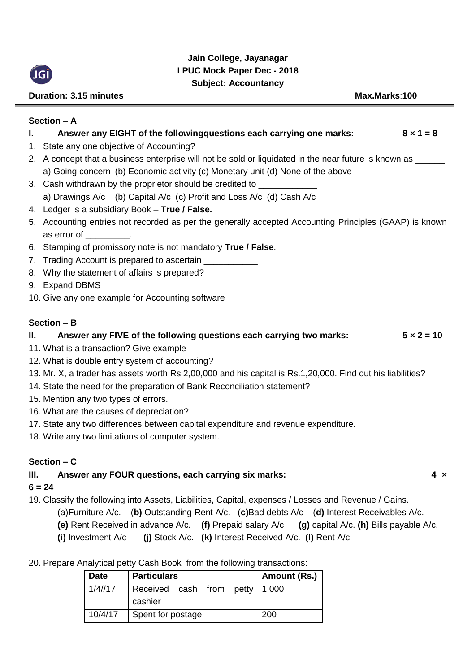

# **Jain College, Jayanagar I PUC Mock Paper Dec - 2018 Subject: Accountancy**

# **Duration: 3.15 minutes Max.Marks:100**

# **Section – A**

| Ι. | Answer any EIGHT of the followingquestions each carrying one marks:<br>$8 \times 1 = 8$                     |
|----|-------------------------------------------------------------------------------------------------------------|
|    | 1. State any one objective of Accounting?                                                                   |
|    | 2. A concept that a business enterprise will not be sold or liquidated in the near future is known as _____ |
|    | a) Going concern (b) Economic activity (c) Monetary unit (d) None of the above                              |
|    | 3. Cash withdrawn by the proprietor should be credited to <b>Commission</b>                                 |
|    | a) Drawings A/c (b) Capital A/c (c) Profit and Loss A/c (d) Cash A/c                                        |
|    | 4. Ledger is a subsidiary Book - True / False.                                                              |
|    | 5. Accounting entries not recorded as per the generally accepted Accounting Principles (GAAP) is known      |
|    | as error of Theory                                                                                          |
|    | 6. Stamping of promissory note is not mandatory True / False.                                               |
|    | 7. Trading Account is prepared to ascertain ____________                                                    |
|    | 8. Why the statement of affairs is prepared?                                                                |
|    | 9. Expand DBMS                                                                                              |
|    | 10. Give any one example for Accounting software                                                            |
|    |                                                                                                             |
|    | Section - B                                                                                                 |
| Ш. | Answer any FIVE of the following questions each carrying two marks:<br>$5 \times 2 = 10$                    |
|    | 11. What is a transaction? Give example                                                                     |
|    | 12. What is double entry system of accounting?                                                              |
|    | 13. Mr. X, a trader has assets worth Rs.2,00,000 and his capital is Rs.1,20,000. Find out his liabilities?  |
|    | 14. State the need for the preparation of Bank Reconciliation statement?                                    |
|    | 15. Mention any two types of errors.                                                                        |
|    | 16. What are the causes of depreciation?                                                                    |
|    | 17. State any two differences between capital expenditure and revenue expenditure.                          |
|    | 18. Write any two limitations of computer system.                                                           |
|    | Section - C                                                                                                 |
| Ш. | Answer any FOUR questions, each carrying six marks:<br>$4 \times$                                           |
|    | $6 = 24$                                                                                                    |
|    | 10 Clossify the following into Assats Liphilities, Capital expenses (Losses and Povenue / Gains             |

19. Classify the following into Assets, Liabilities, Capital, expenses / Losses and Revenue / Gains.

- (a)Furniture A/c. (**b)** Outstanding Rent A/c. (**c)**Bad debts A/c (**d)** Interest Receivables A/c.
- **(e)** Rent Received in advance A/c. **(f)** Prepaid salary A/c **(g)** capital A/c. **(h)** Bills payable A/c.
	- **(i)** Investment A/c **(j)** Stock A/c. **(k)** Interest Received A/c. **(l)** Rent A/c.

20. Prepare Analytical petty Cash Book from the following transactions:

| <b>Date</b> | <b>Particulars</b>                        | Amount (Rs.) |
|-------------|-------------------------------------------|--------------|
| 1/4/17      | Received cash from petty 1,000<br>cashier |              |
| 10/4/17     | Spent for postage                         | 200          |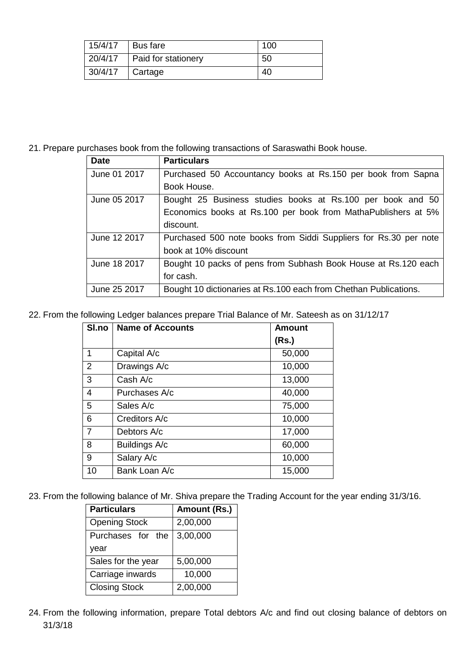| 15/4/17 | <b>Bus fare</b>     | 100 |
|---------|---------------------|-----|
| 20/4/17 | Paid for stationery | 50  |
| 30/4/17 | Cartage             | 40  |

21. Prepare purchases book from the following transactions of Saraswathi Book house.

| <b>Date</b>  | <b>Particulars</b>                                               |
|--------------|------------------------------------------------------------------|
| June 01 2017 | Purchased 50 Accountancy books at Rs.150 per book from Sapna     |
|              | Book House.                                                      |
| June 05 2017 | Bought 25 Business studies books at Rs.100 per book and 50       |
|              | Economics books at Rs.100 per book from MathaPublishers at 5%    |
|              | discount.                                                        |
| June 12 2017 | Purchased 500 note books from Siddi Suppliers for Rs.30 per note |
|              | book at 10% discount                                             |
| June 18 2017 | Bought 10 packs of pens from Subhash Book House at Rs.120 each   |
|              | for cash.                                                        |
| June 25 2017 | Bought 10 dictionaries at Rs.100 each from Chethan Publications. |

22. From the following Ledger balances prepare Trial Balance of Mr. Sateesh as on 31/12/17

| SI.no          | <b>Name of Accounts</b> | <b>Amount</b> |
|----------------|-------------------------|---------------|
|                |                         | (Rs.)         |
| 1              | Capital A/c             | 50,000        |
| 2              | Drawings A/c            | 10,000        |
| 3              | Cash A/c                | 13,000        |
| 4              | Purchases A/c           | 40,000        |
| 5              | Sales A/c               | 75,000        |
| 6              | Creditors A/c           | 10,000        |
| $\overline{7}$ | Debtors A/c             | 17,000        |
| 8              | Buildings A/c           | 60,000        |
| 9              | Salary A/c              | 10,000        |
| 10             | Bank Loan A/c           | 15,000        |

23. From the following balance of Mr. Shiva prepare the Trading Account for the year ending 31/3/16.

| <b>Particulars</b>   | Amount (Rs.) |
|----------------------|--------------|
| <b>Opening Stock</b> | 2,00,000     |
| Purchases for the    | 3,00,000     |
| year                 |              |
| Sales for the year   | 5,00,000     |
| Carriage inwards     | 10,000       |
| <b>Closing Stock</b> | 2,00,000     |

24. From the following information, prepare Total debtors A/c and find out closing balance of debtors on 31/3/18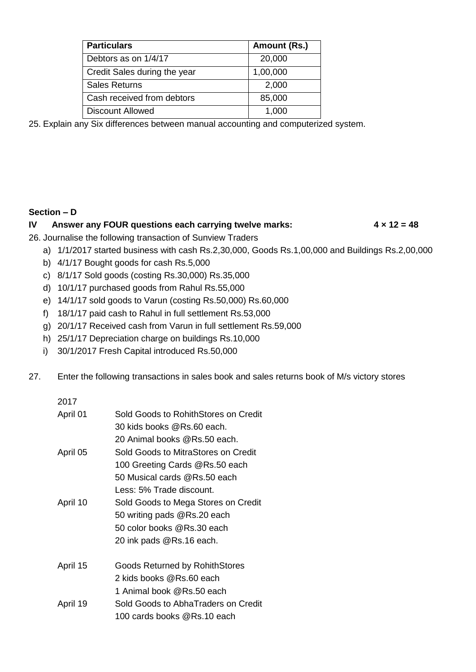| <b>Particulars</b>           | Amount (Rs.) |
|------------------------------|--------------|
| Debtors as on 1/4/17         | 20,000       |
| Credit Sales during the year | 1,00,000     |
| <b>Sales Returns</b>         | 2,000        |
| Cash received from debtors   | 85,000       |
| <b>Discount Allowed</b>      | 1,000        |

25. Explain any Six differences between manual accounting and computerized system.

#### **Section – D**

#### **IV Answer any FOUR questions each carrying twelve marks: 4 × 12 = 48**

26. Journalise the following transaction of Sunview Traders

- a) 1/1/2017 started business with cash Rs.2,30,000, Goods Rs.1,00,000 and Buildings Rs.2,00,000
- b) 4/1/17 Bought goods for cash Rs.5,000
- c) 8/1/17 Sold goods (costing Rs.30,000) Rs.35,000
- d) 10/1/17 purchased goods from Rahul Rs.55,000
- e) 14/1/17 sold goods to Varun (costing Rs.50,000) Rs.60,000
- f) 18/1/17 paid cash to Rahul in full settlement Rs.53,000
- g) 20/1/17 Received cash from Varun in full settlement Rs.59,000
- h) 25/1/17 Depreciation charge on buildings Rs.10,000
- i) 30/1/2017 Fresh Capital introduced Rs.50,000
- 27. Enter the following transactions in sales book and sales returns book of M/s victory stores

#### 2017

| April 01 | Sold Goods to RohithStores on Credit<br>30 kids books @Rs.60 each.<br>20 Animal books @Rs.50 each.                                |
|----------|-----------------------------------------------------------------------------------------------------------------------------------|
| April 05 | Sold Goods to MitraStores on Credit<br>100 Greeting Cards @Rs.50 each<br>50 Musical cards @Rs.50 each<br>Less: 5% Trade discount. |
| April 10 | Sold Goods to Mega Stores on Credit<br>50 writing pads @Rs.20 each<br>50 color books @Rs.30 each<br>20 ink pads @Rs.16 each.      |
| April 15 | <b>Goods Returned by RohithStores</b><br>2 kids books @Rs.60 each                                                                 |
| April 19 | 1 Animal book @Rs.50 each<br>Sold Goods to AbhaTraders on Credit<br>100 cards books @Rs.10 each                                   |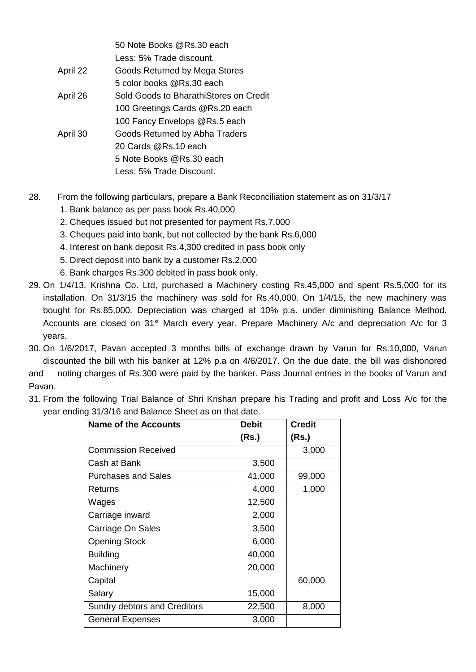|          | 50 Note Books @Rs.30 each              |
|----------|----------------------------------------|
|          | Less: 5% Trade discount.               |
| April 22 | Goods Returned by Mega Stores          |
|          | 5 color books @Rs.30 each              |
| April 26 | Sold Goods to BharathiStores on Credit |
|          | 100 Greetings Cards @Rs.20 each        |
|          | 100 Fancy Envelops @Rs.5 each          |
| April 30 | Goods Returned by Abha Traders         |
|          | 20 Cards @Rs.10 each                   |
|          | 5 Note Books @Rs.30 each               |
|          | Less: 5% Trade Discount.               |
|          |                                        |

- 28. From the following particulars, prepare a Bank Reconciliation statement as on 31/3/17
	- 1. Bank balance as per pass book Rs.40,000
	- 2. Cheques issued but not presented for payment Rs.7,000
	- 3. Cheques paid into bank, but not collected by the bank Rs.6,000
	- 4. Interest on bank deposit Rs.4,300 credited in pass book only
	- 5. Direct deposit into bank by a customer Rs.2,000
	- 6. Bank charges Rs.300 debited in pass book only.
- 29. On 1/4/13, Krishna Co. Ltd, purchased a Machinery costing Rs.45,000 and spent Rs.5,000 for its installation. On 31/3/15 the machinery was sold for Rs.40,000. On 1/4/15, the new machinery was bought for Rs.85,000. Depreciation was charged at 10% p.a. under diminishing Balance Method. Accounts are closed on 31<sup>st</sup> March every year. Prepare Machinery A/c and depreciation A/c for 3 years.
- 30. On 1/6/2017, Pavan accepted 3 months bills of exchange drawn by Varun for Rs.10,000, Varun discounted the bill with his banker at 12% p.a on 4/6/2017. On the due date, the bill was dishonored and noting charges of Rs.300 were paid by the banker. Pass Journal entries in the books of Varun and Pavan.
- 31. From the following Trial Balance of Shri Krishan prepare his Trading and profit and Loss A/c for the year ending 31/3/16 and Balance Sheet as on that date.

| <b>Name of the Accounts</b>         | <b>Debit</b> | <b>Credit</b> |
|-------------------------------------|--------------|---------------|
|                                     | (Rs.)        | (Rs.)         |
| <b>Commission Received</b>          |              | 3,000         |
| Cash at Bank                        | 3,500        |               |
| <b>Purchases and Sales</b>          | 41,000       | 99,000        |
| Returns                             | 4,000        | 1,000         |
| Wages                               | 12,500       |               |
| Carriage inward                     | 2,000        |               |
| Carriage On Sales                   | 3,500        |               |
| <b>Opening Stock</b>                | 6,000        |               |
| <b>Building</b>                     | 40,000       |               |
| Machinery                           | 20,000       |               |
| Capital                             |              | 60,000        |
| Salary                              | 15,000       |               |
| <b>Sundry debtors and Creditors</b> | 22,500       | 8,000         |
| <b>General Expenses</b>             | 3,000        |               |